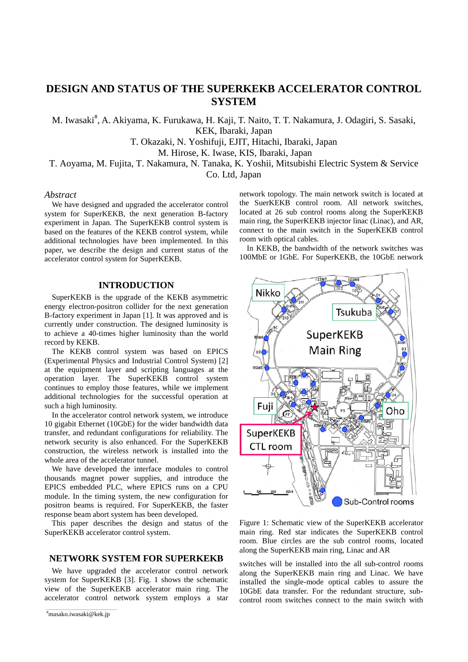# **DESIGN AND STATUS OF THE SUPERKEKB ACCELERATOR CONTROL SYSTEM**

M. Iwasaki<sup>#</sup>, A. Akiyama, K. Furukawa, H. Kaji, T. Naito, T. T. Nakamura, J. Odagiri, S. Sasaki, KEK, Ibaraki, Japan

T. Okazaki, N. Yoshifuji, EJIT, Hitachi, Ibaraki, Japan

M. Hirose, K. Iwase, KIS, Ibaraki, Japan

T. Aoyama, M. Fujita, T. Nakamura, N. Tanaka, K. Yoshii, Mitsubishi Electric System & Service

Co. Ltd, Japan

## *Abstract*

We have designed and upgraded the accelerator control system for SuperKEKB, the next generation B-factory experiment in Japan. The SuperKEKB control system is based on the features of the KEKB control system, while additional technologies have been implemented. In this paper, we describe the design and current status of the accelerator control system for SuperKEKB.

## **INTRODUCTION**

SuperKEKB is the upgrade of the KEKB asymmetric energy electron-positron collider for the next generation B-factory experiment in Japan [1]. It was approved and is currently under construction. The designed luminosity is to achieve a 40-times higher luminosity than the world record by KEKB.

The KEKB control system was based on EPICS (Experimental Physics and Industrial Control System) [2] at the equipment layer and scripting languages at the operation layer. The SuperKEKB control system continues to employ those features, while we implement additional technologies for the successful operation at such a high luminosity.

In the accelerator control network system, we introduce 10 gigabit Ethernet (10GbE) for the wider bandwidth data transfer, and redundant configurations for reliability. The network security is also enhanced. For the SuperKEKB construction, the wireless network is installed into the whole area of the accelerator tunnel.

We have developed the interface modules to control thousands magnet power supplies, and introduce the EPICS embedded PLC, where EPICS runs on a CPU module. In the timing system, the new configuration for positron beams is required. For SuperKEKB, the faster response beam abort system has been developed.

This paper describes the design and status of the SuperKEKB accelerator control system.

## **NETWORK SYSTEM FOR SUPERKEKB**

We have upgraded the accelerator control network system for SuperKEKB [3]. Fig. 1 shows the schematic view of the SuperKEKB accelerator main ring. The accelerator control network system employs a star network topology. The main network switch is located at the SuerKEKB control room. All network switches, located at 26 sub control rooms along the SuperKEKB main ring, the SuperKEKB injector linac (Linac), and AR, connect to the main switch in the SuperKEKB control room with optical cables.

In KEKB, the bandwidth of the network switches was 100MbE or 1GbE. For SuperKEKB, the 10GbE network



Figure 1: Schematic view of the SuperKEKB accelerator main ring. Red star indicates the SuperKEKB control room. Blue circles are the sub control rooms, located along the SuperKEKB main ring, Linac and AR

switches will be installed into the all sub-control rooms along the SuperKEKB main ring and Linac. We have installed the single-mode optical cables to assure the 10GbE data transfer. For the redundant structure, subcontrol room switches connect to the main switch with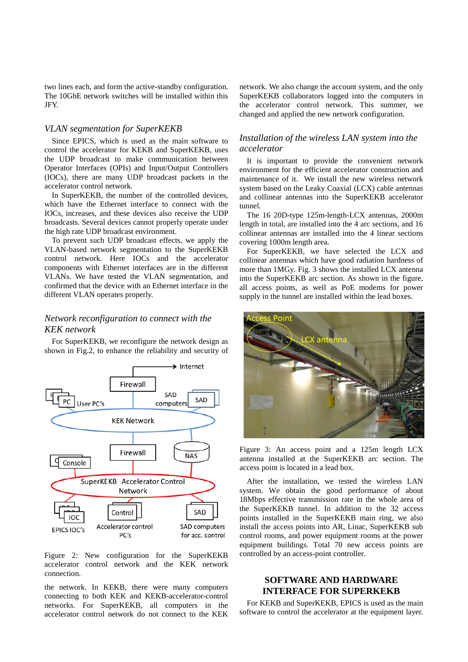two lines each, and form the active-standby configuration. The 10GbE network switches will be installed within this JFY.

## *VLAN segmentation for SuperKEKB*

Since EPICS, which is used as the main software to control the accelerator for KEKB and SuperKEKB, uses the UDP broadcast to make communication between Operator Interfaces (OPIs) and Input/Output Controllers (IOCs), there are many UDP broadcast packets in the accelerator control network.

In SuperKEKB, the number of the controlled devices, which have the Ethernet interface to connect with the IOCs, increases, and these devices also receive the UDP broadcasts. Several devices cannot properly operate under the high rate UDP broadcast environment.

To prevent such UDP broadcast effects, we apply the VLAN-based network segmentation to the SuperKEKB control network. Here IOCs and the accelerator components with Ethernet interfaces are in the different VLANs. We have tested the VLAN segmentation, and confirmed that the device with an Ethernet interface in the different VLAN operates properly.

# *Network reconfiguration to connect with the KEK network*

For SuperKEKB, we reconfigure the network design as shown in Fig.2, to enhance the reliability and security of



Figure 2: New configuration for the SuperKEKB accelerator control network and the KEK network connection.

the network. In KEKB, there were many computers connecting to both KEK and KEKB-accelerator-control networks. For SuperKEKB, all computers in the accelerator control network do not connect to the KEK network. We also change the account system, and the only SuperKEKB collaborators logged into the computers in the accelerator control network. This summer, we changed and applied the new network configuration.

### *Installation of the wireless LAN system into the accelerator*

It is important to provide the convenient network environment for the efficient accelerator construction and maintenance of it. We install the new wireless network system based on the Leaky Coaxial (LCX) cable antennas and collinear antennas into the SuperKEKB accelerator tunnel.

The 16 20D-type 125m-length-LCX antennas, 2000m length in total, are installed into the 4 arc sections, and 16 collinear antennas are installed into the 4 linear sections covering 1000m length area.

For SuperKEKB, we have selected the LCX and collinear antennas which have good radiation hardness of more than 1MGy. Fig. 3 shows the installed LCX antenna into the SuperKEKB arc section. As shown in the figure, all access points, as well as PoE modems for power supply in the tunnel are installed within the lead boxes.



Figure 3: An access point and a 125m length LCX antenna installed at the SuperKEKB arc section. The access point is located in a lead box.

After the installation, we tested the wireless LAN system. We obtain the good performance of about 18Mbps effective transmission rate in the whole area of the SuperKEKB tunnel. In addition to the 32 access points installed in the SuperKEKB main ring, we also install the access points into AR, Linac, SuperKEKB sub control rooms, and power equipment rooms at the power equipment buildings. Total 70 new access points are controlled by an access-point controller.

# **SOFTWARE AND HARDWARE INTERFACE FOR SUPERKEKB**

For KEKB and SuperKEKB, EPICS is used as the main software to control the accelerator at the equipment layer.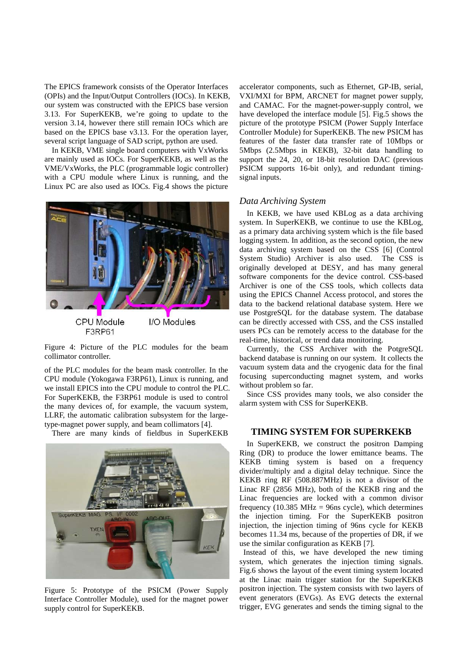The EPICS framework consists of the Operator Interfaces (OPIs) and the Input/Output Controllers (IOCs). In KEKB, our system was constructed with the EPICS base version 3.13. For SuperKEKB, we're going to update to the version 3.14, however there still remain IOCs which are based on the EPICS base v3.13. For the operation layer, several script language of SAD script, python are used.

In KEKB, VME single board computers with VxWorks are mainly used as IOCs. For SuperKEKB, as well as the VME/VxWorks, the PLC (programmable logic controller) with a CPU module where Linux is running, and the Linux PC are also used as IOCs. Fig.4 shows the picture



Figure 4: Picture of the PLC modules for the beam collimator controller.

of the PLC modules for the beam mask controller. In the CPU module (Yokogawa F3RP61), Linux is running, and we install EPICS into the CPU module to control the PLC. For SuperKEKB, the F3RP61 module is used to control the many devices of, for example, the vacuum system, LLRF, the automatic calibration subsystem for the largetype-magnet power supply, and beam collimators [4].

There are many kinds of fieldbus in SuperKEKB



Figure 5: Prototype of the PSICM (Power Supply Interface Controller Module), used for the magnet power supply control for SuperKEKB.

accelerator components, such as Ethernet, GP-IB, serial, VXI/MXI for BPM, ARCNET for magnet power supply, and CAMAC. For the magnet-power-supply control, we have developed the interface module [5]. Fig.5 shows the picture of the prototype PSICM (Power Supply Interface Controller Module) for SuperKEKB. The new PSICM has features of the faster data transfer rate of 10Mbps or 5Mbps (2.5Mbps in KEKB), 32-bit data handling to support the 24, 20, or 18-bit resolution DAC (previous PSICM supports 16-bit only), and redundant timingsignal inputs.

### *Data Archiving System*

In KEKB, we have used KBLog as a data archiving system. In SuperKEKB, we continue to use the KBLog, as a primary data archiving system which is the file based logging system. In addition, as the second option, the new data archiving system based on the CSS [6] (Control System Studio) Archiver is also used. The CSS is originally developed at DESY, and has many general software components for the device control. CSS-based Archiver is one of the CSS tools, which collects data using the EPICS Channel Access protocol, and stores the data to the backend relational database system. Here we use PostgreSQL for the database system. The database can be directly accessed with CSS, and the CSS installed users PCs can be remotely access to the database for the real-time, historical, or trend data monitoring.

Currently, the CSS Archiver with the PotgreSQL backend database is running on our system. It collects the vacuum system data and the cryogenic data for the final focusing superconducting magnet system, and works without problem so far.

Since CSS provides many tools, we also consider the alarm system with CSS for SuperKEKB.

### **TIMING SYSTEM FOR SUPERKEKB**

In SuperKEKB, we construct the positron Damping Ring (DR) to produce the lower emittance beams. The KEKB timing system is based on a frequency divider/multiply and a digital delay technique. Since the KEKB ring RF (508.887MHz) is not a divisor of the Linac RF (2856 MHz), both of the KEKB ring and the Linac frequencies are locked with a common divisor frequency (10.385 MHz = 96ns cycle), which determines the injection timing. For the SuperKEKB positron injection, the injection timing of 96ns cycle for KEKB becomes 11.34 ms, because of the properties of DR, if we use the similar configuration as KEKB [7].

 Instead of this, we have developed the new timing system, which generates the injection timing signals. Fig.6 shows the layout of the event timing system located at the Linac main trigger station for the SuperKEKB positron injection. The system consists with two layers of event generators (EVGs). As EVG detects the external trigger, EVG generates and sends the timing signal to the